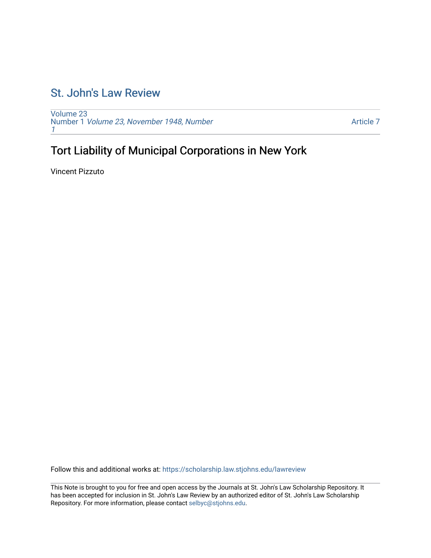## [St. John's Law Review](https://scholarship.law.stjohns.edu/lawreview)

[Volume 23](https://scholarship.law.stjohns.edu/lawreview/vol23) Number 1 [Volume 23, November 1948, Number](https://scholarship.law.stjohns.edu/lawreview/vol23/iss1) [1](https://scholarship.law.stjohns.edu/lawreview/vol23/iss1)

[Article 7](https://scholarship.law.stjohns.edu/lawreview/vol23/iss1/7) 

# Tort Liability of Municipal Corporations in New York

Vincent Pizzuto

Follow this and additional works at: [https://scholarship.law.stjohns.edu/lawreview](https://scholarship.law.stjohns.edu/lawreview?utm_source=scholarship.law.stjohns.edu%2Flawreview%2Fvol23%2Fiss1%2F7&utm_medium=PDF&utm_campaign=PDFCoverPages) 

This Note is brought to you for free and open access by the Journals at St. John's Law Scholarship Repository. It has been accepted for inclusion in St. John's Law Review by an authorized editor of St. John's Law Scholarship Repository. For more information, please contact [selbyc@stjohns.edu.](mailto:selbyc@stjohns.edu)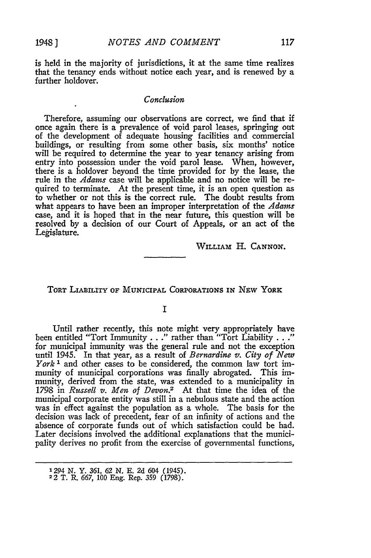is held in the majority of jurisdictions, it at the same time realizes that the tenancy ends without notice each year, and is renewed by a further holdover.

#### *Conclusion*

Therefore, assuming our observations are correct, we find that if once again there is a prevalence of void parol leases, springing out of the development of adequate housing facilities and commercial buildings, or resulting from some other basis, six months' notice will be required to determine the year to year tenancy arising from entry into possession under the void parol lease. When, however, there is a holdover beyond the time provided for **by** the lease, the rule in the *Adams* case will be applicable and no notice will be required to terminate. At the present time, it is an open question as to whether or not this is the correct rule. The doubt results from what appears to have been an improper interpretation of the *Adams* case, and it is hoped that in the near future, this question will be resolved **by** a decision of our Court of Appeals, or an act of the Legislature.

WILLIAm H. **CANNON.**

### TORT LIABILITY **OF** MUNICIPAL CoRPORATIONs IN NEW YORK

**I**

Until rather recently, this note might very appropriately have been entitled "Tort Immunity . . ." rather than "Tort Liability . . . for municipal immunity was the general rule and not the exception until 1945. In that year, as a result of *Bernardine v. City of New York <sup>1</sup>*and other cases to be considered, the common law tort immunity of municipal corporations was finally abrogated. This immunity, derived from the state, was extended to a municipality in 1798 in *Russell v. Men of Devon.2* At that time the idea of the municipal corporate entity was still in a nebulous state and the action was in effect against the population as a whole. The basis for the decision was lack of precedent, fear of an infinity of actions and the absence of corporate funds out of which satisfaction could be had. Later decisions involved the additional explanations that the municipality derives no profit from the exercise of governmental functions,

<sup>1294</sup>*N.* Y. 361, *62 N.* **E. 2d** 604 (1945). <sup>2</sup>2 T. R. 667, **100** Eng. Rep. **359** (1798).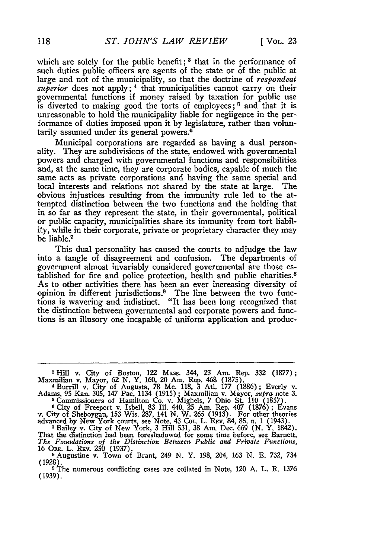which are solely for the public benefit;<sup>3</sup> that in the performance of such duties public officers are agents of the state or of the public at large and not of the municipality, so that the doctrine of *respondeat* superior does not apply;<sup>4</sup> that municipalities cannot carry on their governmental functions if money raised by taxation for public use is diverted to making good the torts of employees;<sup>5</sup> and that it is unreasonable to hold the municipality liable for negligence in the performance of duties imposed upon it by legislature, rather than voluntarily assumed under its general powers.<sup>6</sup>

Municipal corporations are regarded as having a dual personality. They are subdivisions of the state, endowed with governmental powers and charged with governmental functions and responsibilities and, at the same time, they are corporate bodies, capable of much the same acts as private corporations and having the same special and local interests and relations not shared by the state at large. The obvious injustices resulting from the immunity rule led to the attempted distinction between the two functions and the holding that in so far as they represent the state, in their governmental, political or public capacity, municipalities share its immunity from tort liability, while in their corporate, private or proprietary character they may be liable.7

This dual personality has caused the courts to adjudge the law into a tangle of disagreement and confusion. The departments of government almost invariably considered governmental are those established for fire and police protection, health and public charities.<sup>8</sup> As to other activities there has been an ever increasing diversity of opinion in different jurisdictions.9 The line between the two functions is wavering and indistinct. "It has been long recognized that the distinction between governmental and corporate powers and functions is an illusory one incapable of uniform application and produc-

- *The Foundations of the Distinction Between Public and Private Functions,* <sup>16</sup>ORE. L. RFv. **250** (1937). **<sup>8</sup>**Augustine v. Town of Brant, 249 N. Y. 198, 204, 163 N. **E.** 732, 734
- (1928).
- **9** The numerous conflicting cases are collated in Note, 120 A. L. R. 1376 (1939).

<sup>&</sup>lt;sup>3</sup> Hill v. City of Boston, 122 Mass. 344, 23 Am. Rep. 332 (1877);<br>Maxmilian v. Mayor, 62 N. Y. 160, 20 Am. Rep. 468 (1875).<br><sup>4</sup> Burrill v. City of Augusta, 78 Me. 118, 3 Atl. 177 (1886); Everly v.<br>Adams, 95 Kan. 305, 147

<sup>&</sup>lt;sup>5</sup> Commissioners of Hamilton Co. v. Mighels, 7 Ohio St. 110 (1857).<br>
<sup>6</sup> City of Freeport v. Isbell, 83 Ill. 440, 25 Am. Rep. 407 (1876); Evans<br>
v. City of Sheboygan, 153 Wis. 287, 141 N. W. 265 (1913). For other theorie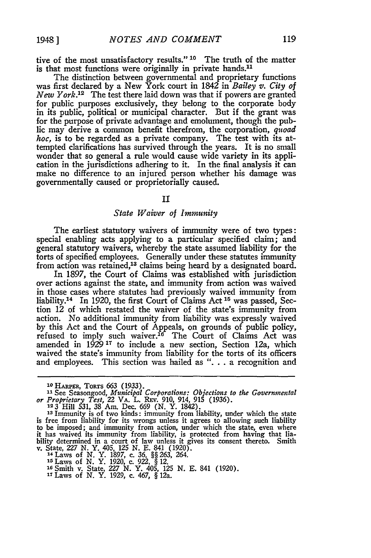19481

tive of the most unsatisfactory results." **10** The truth of the matter is that most functions were originally in private hands.<sup>11</sup>

The distinction between governmental and proprietary functions was first declared by a New York court in 1842 in *Bailey v. City of New York.*<sup>12</sup> The test there laid down was that if powers are granted for public purposes exclusively, they belong to the corporate body in its public, political or municipal character. But if the grant was for the purpose of private advantage and emolument, though the public may derive a common benefit therefrom, the corporation, *quoad hoc,* is to be regarded as a private company. The test with its attempted clarifications has survived through the years. It is no small wonder that so general a rule would cause wide variety in its application in the jurisdictions adhering to it. In the final analysis it can make no difference to an injured person whether his damage was governmentally caused or proprietorially caused.

#### $\mathbf{I}$

#### *State Waiver of Immunity*

The earliest statutory waivers of immunity were of two types: special enabling acts applying to a particular specified claim; and general statutory waivers, whereby the state assumed liability for the torts of specified employees. Generally under these statutes immunity from action was retained,<sup>13</sup> claims being heard by a designated board.

In 1897, the Court of Claims was established with jurisdiction over actions against the state, and immunity from action was waived in those cases where statutes had previously waived immunity from liability.<sup>14</sup> In 1920, the first Court of Claims Act  $^{15}$  was passed, Section 12 of which restated the waiver of the state's immunity from action. No additional immunity from liability was expressly waived by this Act and the Court of Appeals, on grounds of public policy, refused to imply such waiver.<sup>16</sup> The Court of Claims Act was amended in 1929<sup>17</sup> to include a new section, Section 12a, which waived the state's immunity from liability for the torts of its officers and employees. This section was hailed as "... a recognition and

- 
- 
- **Is** Laws of **N.** Y. 1920, c. *922,* § 12. **<sup>16</sup>**Smith v. State, 227 *N.* Y. 405, **125** N. E. 841 (1920).
- **<sup>17</sup>**Laws of N. Y. 1929, c. 467, § 12a.

**Io HARPER,** ToRTs *663* **(1933). 1** See Seasongood, *Municipal Corporations: Objections to the Governmental or Proprietary Test,* 22 VA. L. REv. 910, 914, **915** (1936). **12 3** Hill **531, 38** Am. Dec. *669* (N. Y. 1842). **<sup>23</sup>**Immunity is of two kinds: immunity from liability, under which the state

is free from liability for its wrongs unless it agrees to allowing such liability to be imposed; and immunity from action, under which the state, even where<br>it has waived its immunity from liability, is protected from having that lia-<br>bility determined in a court of law unless it gives its consent there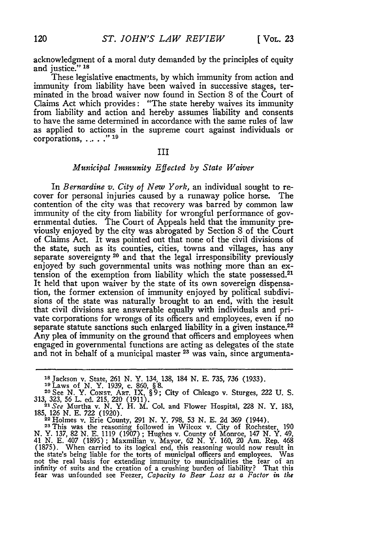acknowledgment of a moral duty demanded **by** the principles of equity and justice." **<sup>18</sup>**

These legislative enactments, **by** which immunity from action and immunity from liability have been waived in successive stages, terminated in the broad waiver now found in Section **8** of the Court of Claims Act which provides: "The state hereby waives its immunity from liability and action and hereby assumes liability and consents to have the same determined in accordance with the same rules of law as applied to actions in the supreme court against individuals or corporations, ... . "<sup>19</sup>

#### III

#### *Municipal Immunity Effected by State Waiver*

In *Bernardine v. City of New York,* an individual sought to recover for personal injuries caused by a runaway police horse. The contention of the city was that recovery was barred by common law immunity of the city from liability for wrongful performance of governmental duties. The Court of Appeals held that the immunity previously enjoyed by the city was abrogated by Section 8 of the Court of Claims Act. It was pointed out that none of the civil divisions of the state, such as its counties, cities, towns and villages, has any separate sovereignty **20** and that the legal irresponsibility previously enjoyed by such governmental units was nothing more than an extension of the exemption from liability which the state possessed.<sup>21</sup> It held that upon waiver by the state of its own sovereign dispensation, the former extension of immunity enjoyed by political subdivisions of the state was naturally brought to an end, with the result that civil divisions are answerable equally with individuals and private corporations for wrongs of its officers and employees, even if no separate statute sanctions such enlarged liability in a given instance.<sup>22</sup> Any plea of immunity on the ground that officers and employees when engaged in governmental functions are acting as delegates of the state and not in behalf of a municipal master <sup>23</sup> was vain, since argumenta-

 $23$  This was the reasoning followed in Wilcox v. City of Rochester, 190<br>23 This was the reasoning followed in Wilcox v. City of Rochester, 190

N. Y. 137, **82** N. **E.** 1119 (1907) **;** Hughes v. County of Monroe, 147 N. Y. 49, <sup>41</sup>**N. E.** 407 (1895) **;** Maxmilian v. Mayor, **62 N.** Y. 160, 20 Am. Rep. 468 (1875). When carried to its logical end, this reasoning would now result in the state's being liable for the torts of municipal officers and employees. Was not the real basis for extending immunity to municipalities the fear of an infinity of suits and the creation of a crushing burden of liability? That this fear was unfounded see Feezer, Capacity to Bear Loss as a Factor in

**<sup>18</sup>**Jackson v. State, 261 N. Y. 134, 138, 184 N. **E.** 735, 736 (1933).

<sup>19</sup> Laws of N. Y. 1939, **c. 860, § 8. 2008, 2008, 2008, 2008, 2008**, 2008, 2008, 2008, 2008, 2008, 2008, 2008, 2008, 2008, 2008, 2008, 2008, 2008, 2008, 2008, 2008, 2008, 2008, 2008, 2008, 2008, 2008, 2008, 2008, 2008, 20 **313, 323, 56** L. ed. **215,** 220 (1911). *21 See* Murtha v. N. Y. H. M. Col. and Flower Hospital, **228** N. Y. 183,

<sup>185,</sup> **126** N. **E. 722** (1920). **<sup>22</sup>**Holmes v. Erie County, **291 N.** Y. 798, **53** N. **E. 2d 369** (1944).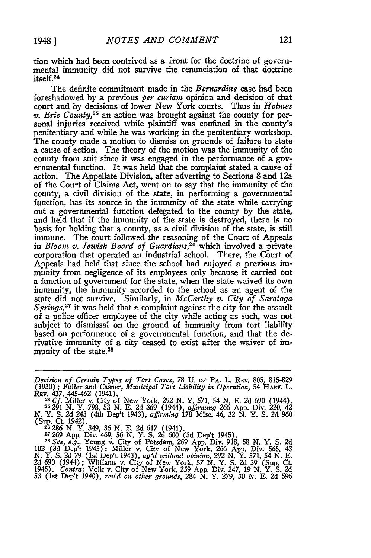tion which had been contrived as a front for the doctrine of governmental immunity did not survive the renunciation of that doctrine itself.<sup>24</sup>

The definite commitment made in the *Bernardine* case had been foreshadowed by a previous *per curiam* opinion and decision of that court and by decisions of lower New York courts. Thus in *Holmes v. Eric County,25* an action was brought against the county for personal injuries received while plaintiff was confined in the county's penitentiary and while he was working in the penitentiary workshop. The county made a motion to dismiss on grounds of failure to state a cause of action. The theory of the motion was the immunity of the county from suit since it was engaged in the performance of a governmental function. It was held that the complaint stated a cause of action. The Appellate Division, after adverting to Sections 8 and 12a of the Court of Claims Act, went on to say that the immunity of the county, a civil division of the state, in performing a governmental function, has its source in the immunity of the state while carrying out a governmental function delegated to the county by the state, and held that if the immunity of the state is destroyed, there is no basis for holding that a county, as a civil division of the state, is still immune. The court followed the reasoning of the Court of Appeals in *Bloom v. Jewish Board of Guardians,26* which involved a private corporation that operated an industrial school. There, the Court of Appeals had held that since the school had enjoyed a previous immunity from negligence of its employees only because it carried out a function of government for the state, when the state waived its own immunity, the immunity accorded to the school as an agent of the state did not survive. Similarly, in *McCarthy v. City of Saratoga Springs*,<sup>27</sup> it was held that a complaint against the city for the assault of a police officer employee of the city while acting as such, was not subject to dismissal on the ground of immunity from tort liability based on performance of a governmental function, and that the derivative immunity of a city ceased to exist after the waiver of immunity of the state.<sup>28</sup>

**27 269** App. Div. 469, *56* N. Y. S. **2d** 600 (3d Dep't 1945). *<sup>2</sup> 8 See, e.g.,* Young v. City of Potsdam, **269** App. Div. 918, 58 N. Y. **S. 2d**

102 (3d Dep't 1945); Miller v. City of New York, 266 App. Div. 565, 43<br>N. Y. S. 2d 79 (1st Dep't 1943), aff'd without opinion, 292 N. Y. 571, 54 N. E.<br>2d 690 (1944); Williams v. City of New York, 57 N. Y. S. 2d 39 (Sup. Ct

*Decision of Certain Types of Tort Cases,* **78 U. oF** PA. L. REv. 805, 815-829 (1930) **;** Fuller and Casner, *Municipal Tort Liability in Operation,* 54 HARv. L. Rnv. 437, 445-462 (1941). <sup>24</sup>*Cf.* Miller v. City of New York, **292** N. Y. 571, 54 N. E. **2d** 690 (1944).

**<sup>25291</sup>** N. Y. 798, 53 N. E. **2d** 369 (1944), *affirmning* 266 App. Div. 220, 42 N. Y. S. **2d** 243 (4th Dep't 1943), *afflrtnng* **178** Misc. 46, **32** N. Y. S. **2d** 960 (Sup. Ct. 1942). **<sup>26</sup>**286 N. Y. 349, *36* N. E. **2d** 617 (1941).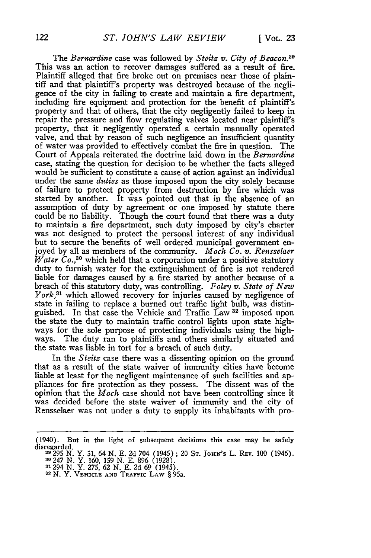The *Bernardine* case was followed by *Steitz v. City of Beacon.2 <sup>9</sup>* This was an action to recover damages suffered as a result of fire. Plaintiff alleged that fire broke out on premises near those of plaintiff and that plaintiff's property was destroyed because of the negligence of the city in failing to create and maintain a fire department, including fire equipment and protection for the benefit of plaintiff's property and that of others, that the city negligently failed to keep in repair the pressure and flow regulating valves located near plaintiff's property, that it negligently operated a certain manually operated valve, and that by reason of such negligence an insufficient quantity of water was provided to effectively combat the fire in question. The Court of Appeals reiterated the doctrine laid down in the *Bernardine* case, stating the question for decision to be whether the facts alleged would be sufficient to constitute a cause of action against an individual under the same *duties* as those imposed upon the city solely because of failure to protect property from destruction by fire which was started by another. It was pointed out that in the absence of an assumption of duty by agreement or one imposed by statute there could be no liability. Though the court found that there was a duty to maintain a fire department, such duty imposed by city's charter was not designed to protect the personal interest of any individual but to secure the benefits of well ordered municipal government enjoyed by all as members of the community. *Moch Co. v. Rensselaer*  $W_{\text{after}}$   $Co^{30}$  which held that a corporation under a positive statutory duty to furnish water for the extinguishment of fire is not rendered liable for damages caused by a fire started by another because of a breach of this statutory duty, was controlling. *Foley v. State of New York*,<sup>31</sup> which allowed recovery for injuries caused by negligence of state in failing to replace a burned out traffic light bulb, was distinguished. In that case the Vehicle and Traffic Law **32** imposed upon the state the duty to maintain traffic control lights upon state highways for the sole purpose of protecting individuals using the highways. The duty ran to plaintiffs and others similarly situated and the state was liable in tort for a breach of such duty.

In the *Steitz* case there was a dissenting opinion on the ground that as a result of the state waiver of immunity cities have become liable at least for the negligent maintenance of such facilities and appliances for fire protection as they possess. The dissent was of the opinion that the *Moch* case should not have been controlling since it was decided before the state waiver of immunity and the city of Rensselaer was not under a duty to supply its inhabitants with pro-

<sup>(1940).</sup> But in the light of subsequent decisions this case may be safely disregarded. **<sup>29295</sup>**N. Y. 51, 64 N. **E.** 2d 704 (1945) ; 20 **ST.** jOHN'S L. Rav. 100 (1946).

**<sup>30</sup>**247 N. Y. 160, 159 N. **E.** 896 (1928). **<sup>31294</sup>**N. Y. 275, 62 N. **E.** 2d 69 (1945). **<sup>3</sup> 2** N. Y. **VEHICLE AND TRAFFIC** LAW § 95a.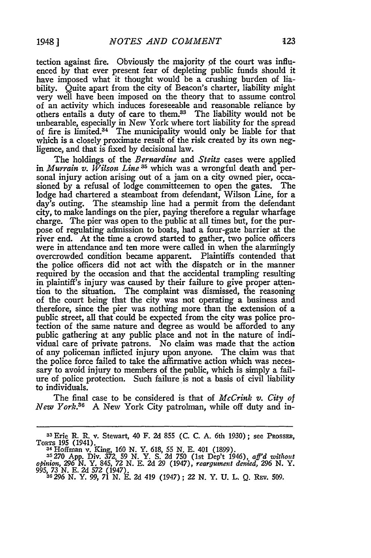tection against fire. Obviously the majority **pf** the court was influenced by that ever present fear of depleting public funds should it have imposed what it thought would be a crushing burden of liability. Quite apart from the city of Beacon's charter, liability might very well have been imposed on the theory that to assume control of an activity which induces foreseeable and reasonable reliance by others entails a duty of care to them.<sup>33</sup> The liability would not be unbearable, especially in New York where tort liability for the spread of fire is limited. $34$  The municipality would only be liable for that which is a closely proximate result of the risk created by its own negligence, and that is fixed by decisional law.

The holdings of the *Bernardine* and *Steitz* cases were applied in *Murrain v. Wilson Line*<sup>35</sup> which was a wrongful death and personal injury action arising out of a jam on a city owned pier, occasioned by a refusal of lodge committeemen to open the gates. The lodge had chartered a steamboat from defendant, Wilson Line, for a day's outing. The steamship line had a permit from the defendant city, to make landings on the pier, paying therefore a regular wharfage charge. The pier was open to the public at all times but, for the purpose of regulating admission to boats, had a four-gate barrier at the river end. At the time a crowd started to gather, two police officers were in attendance and ten more were called in when the alarmingly overcrowded condition became apparent. Plaintiffs contended that the police officers did not act with the dispatch or in the manner required by the occasion and that the accidental trampling resulting in plaintiff's injury was caused by their failure to give proper attention to the situation. The complaint was dismissed, the reasoning of the court being that the city was not operating a business and therefore, since the pier was nothing more than the extension of a public street, all that could be expected from the city was police protection of the same nature and degree as would be afforded to any public gathering at any public place and not in the nature of individual care of private patrons. No claim was made that the action of any policeman inflicted injury upon anyone. The claim was that the police force failed to take the affirmative action which was necessary to avoid injury to members of the public, which is simply a failure of police protection. Such failure is not a basis of civil liability to individuals.

The final case to be considered is that of *McCrink v. City of New York."* **A** New York City patrolman, while off duty and in-

**<sup>33</sup>**Erie R. R. v. Stewart, 40 F. **2d** 855 **(C.** C. A. 6th 1930); see PRossEu, TORTS 195 (1941). <sup>3</sup> 4 Hoffman v. King, *160* N. Y. 618, 55 N. E. 401 (1899). **35270 App.** Div. 372, 59 N. Y. S. **2d 750** (1st Dep't 1946), *aff'd without*

*opinion, 296* N. Y. 845, **72** N. E. **2d 29** (1947), *reargurment denied, 296* N. Y. 995, **73** N. E. **2d** *572* (1947). 36 296 N. Y. 99, 71 N. E. **2d** 419 (1947) ; 22 N. Y. U. L. Q. R1v. 509.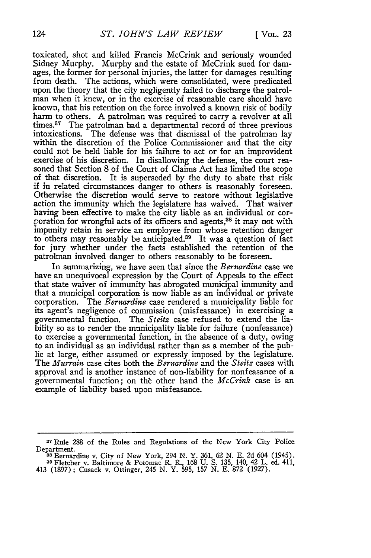toxicated, shot and killed Francis McCrink and seriously wounded Sidney Murphy. Murphy and the estate of McCrink sued for damages, the former for personal injuries, the latter for damages resulting from death. The actions, which were consolidated, were predicated upon the theory that the city negligently failed to discharge the patrolman when it knew, or in the exercise of reasonable care should have known, that his retention on the force involved a known risk of bodily harm to others. A patrolman was required to carry a revolver at all times. $37$  The patrolman had a departmental record of three previous intoxications. The defense was that dismissal of the patrolman lay within the discretion of the Police Commissioner and that the city could not be held liable for his failure to act or for an improvident exercise of his discretion. In disallowing the defense, the court reasoned that Section 8 of the Court of Claims Act has limited the scope of that discretion. It is superseded by the duty to abate that risk if in related circumstances danger to others is reasonably foreseen. Otherwise the discretion would serve to restore without legislative action the immunity which the legislature has waived. That waiver having been effective to make the city liable as an individual or cor coration for wrongful acts of its officers and agents,<sup>38</sup> it may not with impunity retain in service an employee from whose retention danger to others may reasonably be anticipated.<sup>39</sup> It was a question of fact for jury whether under the facts established the retention of the patrolman involved danger to others reasonably to be foreseen.

In summarizing, we have seen that since the *Bernardine* case we have an unequivocal expression by the Court of Appeals to the effect that state waiver of immunity has abrogated municipal immunity and that a municipal corporation is now liable as an individual or private corporation. The *Bernardine* case rendered a municipality liable for its agent's negligence of commission (misfeasance) in exercising a governmental function. The *Steitz* case refused to extend the liability so as to render the municipality liable for failure (nonfeasance) to exercise a governmental function, in the absence of a duty, owing to an individual as an individual rather than as a member of the public at large, either assumed or expressly imposed by the legislature. The *Murrain* case cites both the *Bernardine* and the *Steitz* cases with approval and is another instance of non-liability for nonfeasance of a governmental function; on the other hand the *McCrink* case is an example of liability based upon misfeasance.

**<sup>3</sup>**Rule 288 of the Rules and Regulations of the New York City Police Department. **<sup>38</sup>**Bernardine v. City of New York, 294 N. Y. 361, 62 N. E. 2d 604 (1945).

**<sup>39</sup>**Fletcher v. Baltimore & Potomac R. R-, 168 U. S. 135, 140, 42 L. ed. 411,

<sup>413 (1897) ;</sup> Cusack v. Ottinger, 245 N. Y. 595, 157 N. E. 872 (1927).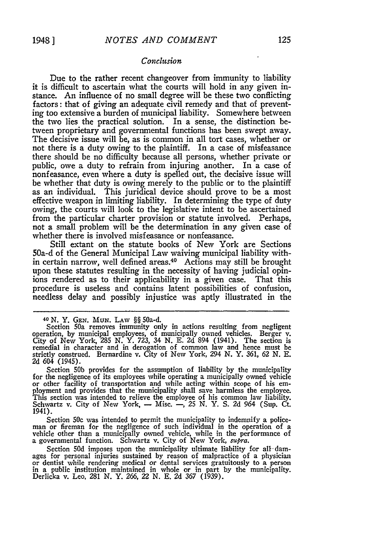#### *Conclusion*

Due to the rather recent changeover from immunity to liability it is difficult to ascertain what the courts will hold in any given instance. An influence of no small degree will be these two conflicting factors: that of giving an adequate civil remedy and that of preventing too extensive a burden of municipal liability. Somewhere between the two lies the practical solution. In a sense, the distinction between proprietary and governmental functions has been swept away. The decisive issue will be, as is common in all tort cases, whether or not there is a duty owing to the plaintiff. In a case of misfeasance there should be no difficulty because all persons, whether private or public, owe a duty to refrain from injuring another. In a case of nonfeasance, even where a duty is spelled out, the decisive issue will be whether that duty is owing merely to the public or to the plaintiff as an individual. This juridical device should prove to be a most effective weapon in limiting liability. In determining the type of duty owing, the courts will look to the legislative intent to be ascertained from the particular charter provision or statute involved. Perhaps, not a small problem will be the determination in any given case of whether there is involved misfeasance or nonfeasance.

Still extant on the statute books of New York are Sections 50a-d of the General Municipal Law waiving municipal liability within certain narrow, well defined areas.<sup>40</sup> Actions may still be brought upon these statutes resulting in the necessity of having judicial opinions rendered as to their applicability in a given case. That this procedure is useless and contains latent possibilities of confusion, needless delay and possibly injustice was aptly illustrated in the

Section 50b provides for the assumption of liability by the municipality<br>for the negligence of its employees while operating a municipally owned vehicle<br>or other facility of transportation and while acting within scope of Schwartz v. City of New York, **-** Misc. -, **25** N. Y. S. **2d** 964 (Sup. Ct. 1941).

Section *50c* was intended to permit the municipality to indemnify a police- man or fireman for the negligence of such individual in the operation of a vehicle other than a municipally owned vehicle, while in the performance of a governmental function. Schwartz v. City of New York, *mipra.*

Section *50d* imposes upon the municipality ultimate liability for all-damages for personal injuries sustained by reason of malpractice of a physician in a public institution maintained in whole or in part by the municipality. Derlicka v. Leo, **281** N. Y. 266, 22 N. E. 2d **367** (1939).

**<sup>40</sup>***N.* Y. **GEN.** *MuN.* LAW §§ 50a-d.

Section 50a removes immunity only in actions resulting from negligent<br>operation, by municipal employees, of municipally owned vehicles. Berger v.<br>City of New York, 285 N. Y. 723, 34 N. E. 2d 894 (1941). The section is<br>reme strictly construed. Bernardine v. City of New York, 294 N. Y. *361, 62* N. **E. 2d** 604 (1945).